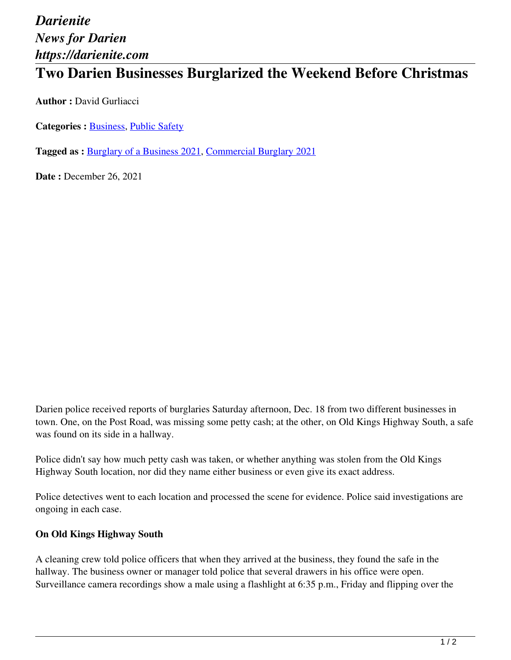# *Darienite News for Darien https://darienite.com*

## **Two Darien Businesses Burglarized the Weekend Before Christmas**

**Author :** David Gurliacci

Categories : **Business**, Public Safety

**Tagged as :** Burglary of a Business 2021, Commercial Burglary 2021

**Date : December 26, 2021** 

Darien police received reports of burglaries Saturday afternoon, Dec. 18 from two different businesses in town. One, on the Post Road, was missing some petty cash; at the other, on Old Kings Highway South, a safe was found on its side in a hallway.

Police didn't say how much petty cash was taken, or whether anything was stolen from the Old Kings Highway South location, nor did they name either business or even give its exact address.

Police detectives went to each location and processed the scene for evidence. Police said investigations are ongoing in each case.

#### **On Old Kings Highway South**

A cleaning crew told police officers that when they arrived at the business, they found the safe in the hallway. The business owner or manager told police that several drawers in his office were open. Surveillance camera recordings show a male using a flashlight at 6:35 p.m., Friday and flipping over the